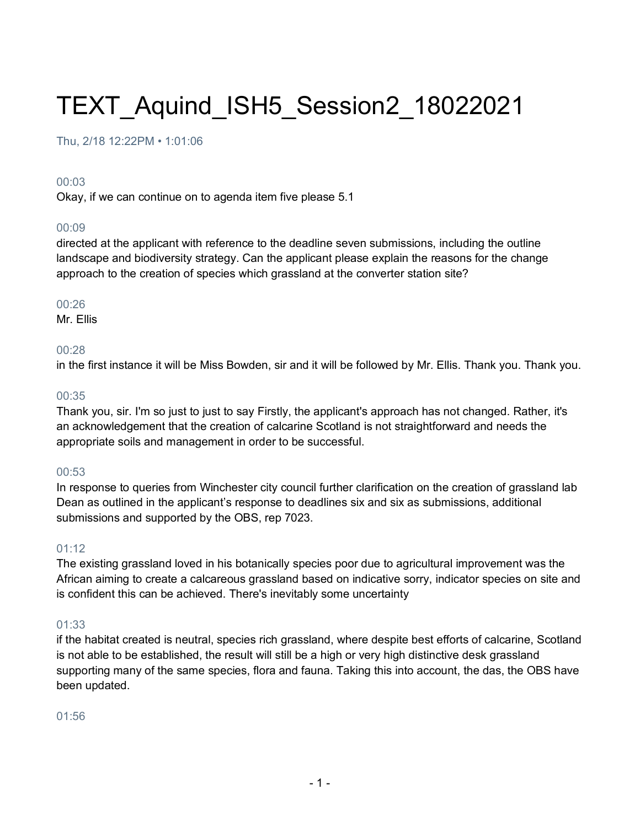# TEXT\_Aquind\_ISH5\_Session2\_18022021

Thu, 2/18 12:22PM • 1:01:06

### 00:03

Okay, if we can continue on to agenda item five please 5.1

### 00:09

directed at the applicant with reference to the deadline seven submissions, including the outline landscape and biodiversity strategy. Can the applicant please explain the reasons for the change approach to the creation of species which grassland at the converter station site?

### 00:26

Mr. Ellis

# 00:28

in the first instance it will be Miss Bowden, sir and it will be followed by Mr. Ellis. Thank you. Thank you.

# 00:35

Thank you, sir. I'm so just to just to say Firstly, the applicant's approach has not changed. Rather, it's an acknowledgement that the creation of calcarine Scotland is not straightforward and needs the appropriate soils and management in order to be successful.

### 00:53

In response to queries from Winchester city council further clarification on the creation of grassland lab Dean as outlined in the applicant's response to deadlines six and six as submissions, additional submissions and supported by the OBS, rep 7023.

### 01:12

The existing grassland loved in his botanically species poor due to agricultural improvement was the African aiming to create a calcareous grassland based on indicative sorry, indicator species on site and is confident this can be achieved. There's inevitably some uncertainty

### 01:33

if the habitat created is neutral, species rich grassland, where despite best efforts of calcarine, Scotland is not able to be established, the result will still be a high or very high distinctive desk grassland supporting many of the same species, flora and fauna. Taking this into account, the das, the OBS have been updated.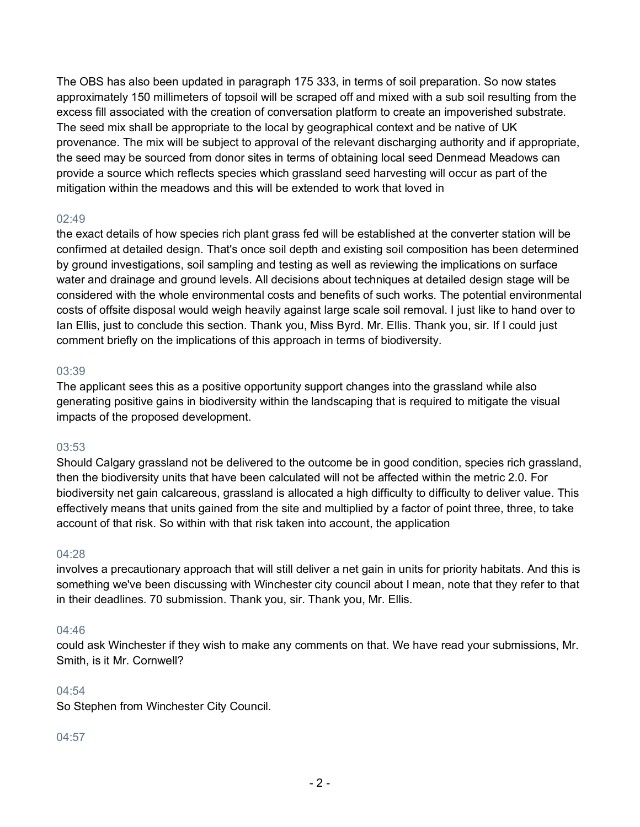The OBS has also been updated in paragraph 175 333, in terms of soil preparation. So now states approximately 150 millimeters of topsoil will be scraped off and mixed with a sub soil resulting from the excess fill associated with the creation of conversation platform to create an impoverished substrate. The seed mix shall be appropriate to the local by geographical context and be native of UK provenance. The mix will be subject to approval of the relevant discharging authority and if appropriate, the seed may be sourced from donor sites in terms of obtaining local seed Denmead Meadows can provide a source which reflects species which grassland seed harvesting will occur as part of the mitigation within the meadows and this will be extended to work that loved in

### 02:49

the exact details of how species rich plant grass fed will be established at the converter station will be confirmed at detailed design. That's once soil depth and existing soil composition has been determined by ground investigations, soil sampling and testing as well as reviewing the implications on surface water and drainage and ground levels. All decisions about techniques at detailed design stage will be considered with the whole environmental costs and benefits of such works. The potential environmental costs of offsite disposal would weigh heavily against large scale soil removal. I just like to hand over to Ian Ellis, just to conclude this section. Thank you, Miss Byrd. Mr. Ellis. Thank you, sir. If I could just comment briefly on the implications of this approach in terms of biodiversity.

# 03:39

The applicant sees this as a positive opportunity support changes into the grassland while also generating positive gains in biodiversity within the landscaping that is required to mitigate the visual impacts of the proposed development.

# 03:53

Should Calgary grassland not be delivered to the outcome be in good condition, species rich grassland, then the biodiversity units that have been calculated will not be affected within the metric 2.0. For biodiversity net gain calcareous, grassland is allocated a high difficulty to difficulty to deliver value. This effectively means that units gained from the site and multiplied by a factor of point three, three, to take account of that risk. So within with that risk taken into account, the application

### 04:28

involves a precautionary approach that will still deliver a net gain in units for priority habitats. And this is something we've been discussing with Winchester city council about I mean, note that they refer to that in their deadlines. 70 submission. Thank you, sir. Thank you, Mr. Ellis.

### 04:46

could ask Winchester if they wish to make any comments on that. We have read your submissions, Mr. Smith, is it Mr. Cornwell?

# 04:54

So Stephen from Winchester City Council.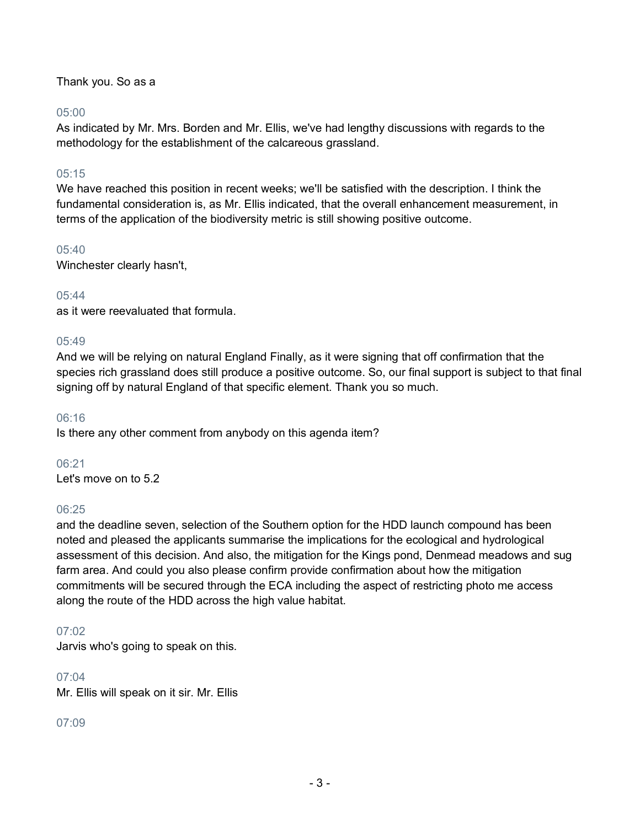Thank you. So as a

### 05:00

As indicated by Mr. Mrs. Borden and Mr. Ellis, we've had lengthy discussions with regards to the methodology for the establishment of the calcareous grassland.

# 05:15

We have reached this position in recent weeks; we'll be satisfied with the description. I think the fundamental consideration is, as Mr. Ellis indicated, that the overall enhancement measurement, in terms of the application of the biodiversity metric is still showing positive outcome.

# 05:40

Winchester clearly hasn't,

# $0.5:44$

as it were reevaluated that formula.

# 05:49

And we will be relying on natural England Finally, as it were signing that off confirmation that the species rich grassland does still produce a positive outcome. So, our final support is subject to that final signing off by natural England of that specific element. Thank you so much.

### 06:16

Is there any other comment from anybody on this agenda item?

### 06:21

Let's move on to 5.2

### 06:25

and the deadline seven, selection of the Southern option for the HDD launch compound has been noted and pleased the applicants summarise the implications for the ecological and hydrological assessment of this decision. And also, the mitigation for the Kings pond, Denmead meadows and sug farm area. And could you also please confirm provide confirmation about how the mitigation commitments will be secured through the ECA including the aspect of restricting photo me access along the route of the HDD across the high value habitat.

# 07:02

Jarvis who's going to speak on this.

### 07:04

Mr. Ellis will speak on it sir. Mr. Ellis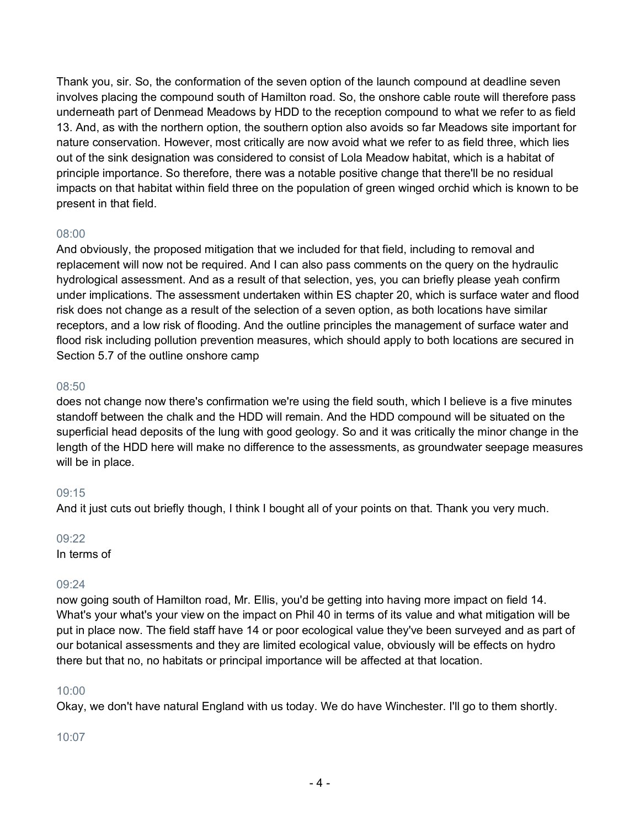Thank you, sir. So, the conformation of the seven option of the launch compound at deadline seven involves placing the compound south of Hamilton road. So, the onshore cable route will therefore pass underneath part of Denmead Meadows by HDD to the reception compound to what we refer to as field 13. And, as with the northern option, the southern option also avoids so far Meadows site important for nature conservation. However, most critically are now avoid what we refer to as field three, which lies out of the sink designation was considered to consist of Lola Meadow habitat, which is a habitat of principle importance. So therefore, there was a notable positive change that there'll be no residual impacts on that habitat within field three on the population of green winged orchid which is known to be present in that field.

# 08:00

And obviously, the proposed mitigation that we included for that field, including to removal and replacement will now not be required. And I can also pass comments on the query on the hydraulic hydrological assessment. And as a result of that selection, yes, you can briefly please yeah confirm under implications. The assessment undertaken within ES chapter 20, which is surface water and flood risk does not change as a result of the selection of a seven option, as both locations have similar receptors, and a low risk of flooding. And the outline principles the management of surface water and flood risk including pollution prevention measures, which should apply to both locations are secured in Section 5.7 of the outline onshore camp

### 08:50

does not change now there's confirmation we're using the field south, which I believe is a five minutes standoff between the chalk and the HDD will remain. And the HDD compound will be situated on the superficial head deposits of the lung with good geology. So and it was critically the minor change in the length of the HDD here will make no difference to the assessments, as groundwater seepage measures will be in place.

### 09:15

And it just cuts out briefly though, I think I bought all of your points on that. Thank you very much.

#### 09:22

In terms of

### 09:24

now going south of Hamilton road, Mr. Ellis, you'd be getting into having more impact on field 14. What's your what's your view on the impact on Phil 40 in terms of its value and what mitigation will be put in place now. The field staff have 14 or poor ecological value they've been surveyed and as part of our botanical assessments and they are limited ecological value, obviously will be effects on hydro there but that no, no habitats or principal importance will be affected at that location.

### 10:00

Okay, we don't have natural England with us today. We do have Winchester. I'll go to them shortly.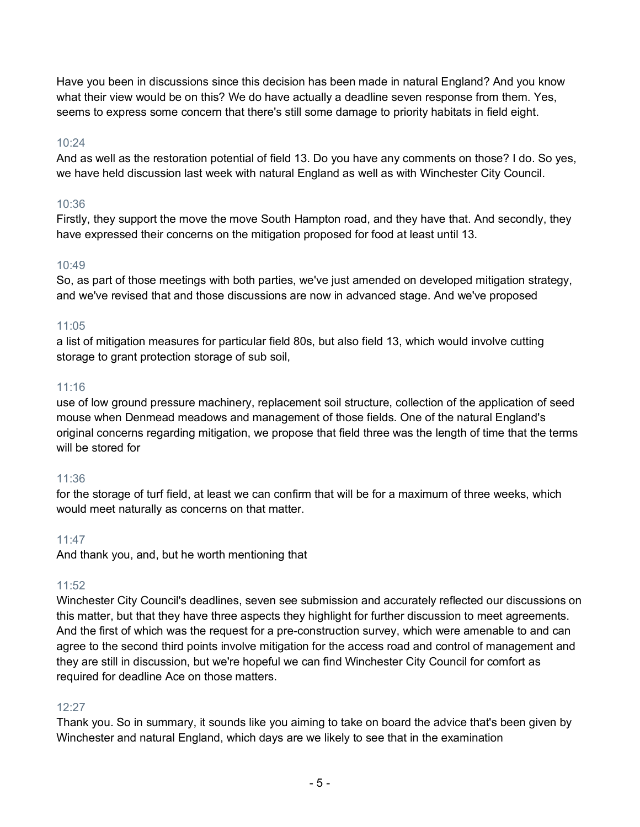Have you been in discussions since this decision has been made in natural England? And you know what their view would be on this? We do have actually a deadline seven response from them. Yes, seems to express some concern that there's still some damage to priority habitats in field eight.

# 10:24

And as well as the restoration potential of field 13. Do you have any comments on those? I do. So yes, we have held discussion last week with natural England as well as with Winchester City Council.

# 10:36

Firstly, they support the move the move South Hampton road, and they have that. And secondly, they have expressed their concerns on the mitigation proposed for food at least until 13.

# 10:49

So, as part of those meetings with both parties, we've just amended on developed mitigation strategy, and we've revised that and those discussions are now in advanced stage. And we've proposed

# 11:05

a list of mitigation measures for particular field 80s, but also field 13, which would involve cutting storage to grant protection storage of sub soil,

# 11:16

use of low ground pressure machinery, replacement soil structure, collection of the application of seed mouse when Denmead meadows and management of those fields. One of the natural England's original concerns regarding mitigation, we propose that field three was the length of time that the terms will be stored for

# 11:36

for the storage of turf field, at least we can confirm that will be for a maximum of three weeks, which would meet naturally as concerns on that matter.

# 11:47

And thank you, and, but he worth mentioning that

# 11:52

Winchester City Council's deadlines, seven see submission and accurately reflected our discussions on this matter, but that they have three aspects they highlight for further discussion to meet agreements. And the first of which was the request for a pre-construction survey, which were amenable to and can agree to the second third points involve mitigation for the access road and control of management and they are still in discussion, but we're hopeful we can find Winchester City Council for comfort as required for deadline Ace on those matters.

# 12:27

Thank you. So in summary, it sounds like you aiming to take on board the advice that's been given by Winchester and natural England, which days are we likely to see that in the examination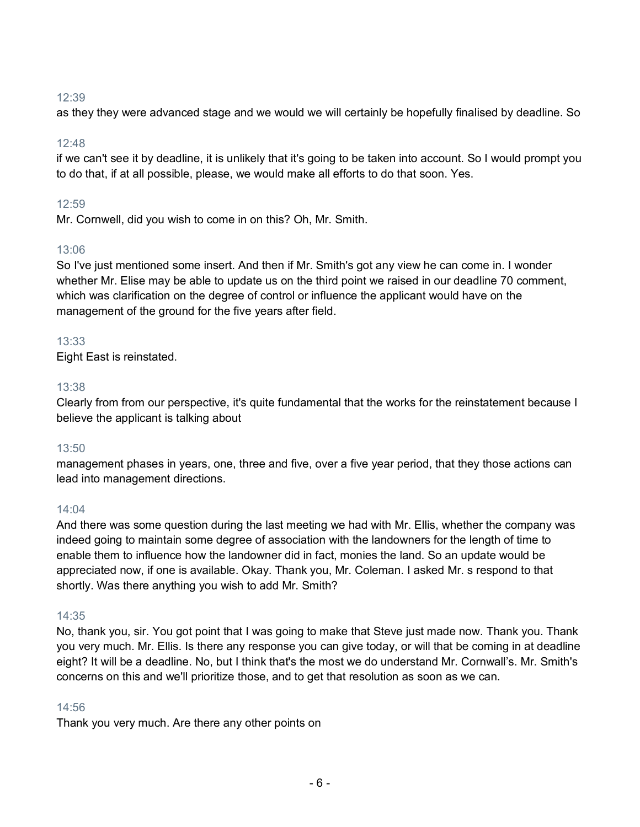as they they were advanced stage and we would we will certainly be hopefully finalised by deadline. So

# 12:48

if we can't see it by deadline, it is unlikely that it's going to be taken into account. So I would prompt you to do that, if at all possible, please, we would make all efforts to do that soon. Yes.

# 12:59

Mr. Cornwell, did you wish to come in on this? Oh, Mr. Smith.

# 13:06

So I've just mentioned some insert. And then if Mr. Smith's got any view he can come in. I wonder whether Mr. Elise may be able to update us on the third point we raised in our deadline 70 comment, which was clarification on the degree of control or influence the applicant would have on the management of the ground for the five years after field.

# 13:33

Eight East is reinstated.

# 13:38

Clearly from from our perspective, it's quite fundamental that the works for the reinstatement because I believe the applicant is talking about

### 13:50

management phases in years, one, three and five, over a five year period, that they those actions can lead into management directions.

### 14:04

And there was some question during the last meeting we had with Mr. Ellis, whether the company was indeed going to maintain some degree of association with the landowners for the length of time to enable them to influence how the landowner did in fact, monies the land. So an update would be appreciated now, if one is available. Okay. Thank you, Mr. Coleman. I asked Mr. s respond to that shortly. Was there anything you wish to add Mr. Smith?

### 14:35

No, thank you, sir. You got point that I was going to make that Steve just made now. Thank you. Thank you very much. Mr. Ellis. Is there any response you can give today, or will that be coming in at deadline eight? It will be a deadline. No, but I think that's the most we do understand Mr. Cornwall's. Mr. Smith's concerns on this and we'll prioritize those, and to get that resolution as soon as we can.

### 14:56

Thank you very much. Are there any other points on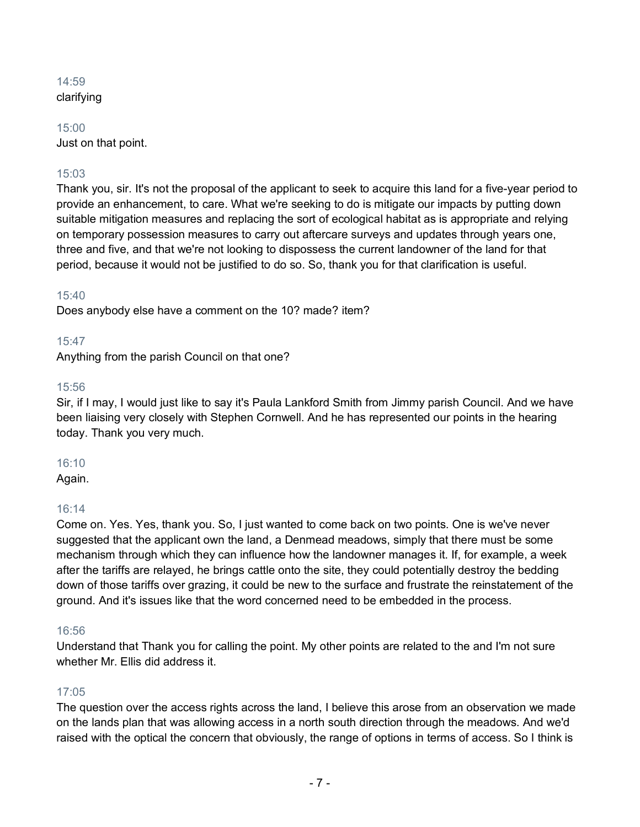# 14:59 clarifying

15:00 Just on that point.

# 15:03

Thank you, sir. It's not the proposal of the applicant to seek to acquire this land for a five-year period to provide an enhancement, to care. What we're seeking to do is mitigate our impacts by putting down suitable mitigation measures and replacing the sort of ecological habitat as is appropriate and relying on temporary possession measures to carry out aftercare surveys and updates through years one, three and five, and that we're not looking to dispossess the current landowner of the land for that period, because it would not be justified to do so. So, thank you for that clarification is useful.

# 15:40

Does anybody else have a comment on the 10? made? item?

# 15:47

Anything from the parish Council on that one?

# 15:56

Sir, if I may, I would just like to say it's Paula Lankford Smith from Jimmy parish Council. And we have been liaising very closely with Stephen Cornwell. And he has represented our points in the hearing today. Thank you very much.

### 16:10

Again.

# 16:14

Come on. Yes. Yes, thank you. So, I just wanted to come back on two points. One is we've never suggested that the applicant own the land, a Denmead meadows, simply that there must be some mechanism through which they can influence how the landowner manages it. If, for example, a week after the tariffs are relayed, he brings cattle onto the site, they could potentially destroy the bedding down of those tariffs over grazing, it could be new to the surface and frustrate the reinstatement of the ground. And it's issues like that the word concerned need to be embedded in the process.

### 16:56

Understand that Thank you for calling the point. My other points are related to the and I'm not sure whether Mr. Ellis did address it.

# 17:05

The question over the access rights across the land, I believe this arose from an observation we made on the lands plan that was allowing access in a north south direction through the meadows. And we'd raised with the optical the concern that obviously, the range of options in terms of access. So I think is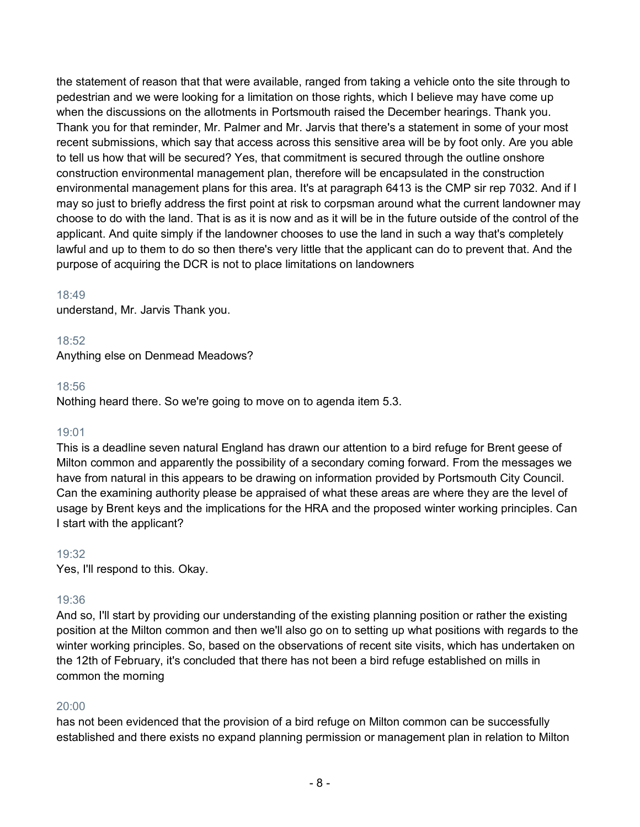the statement of reason that that were available, ranged from taking a vehicle onto the site through to pedestrian and we were looking for a limitation on those rights, which I believe may have come up when the discussions on the allotments in Portsmouth raised the December hearings. Thank you. Thank you for that reminder, Mr. Palmer and Mr. Jarvis that there's a statement in some of your most recent submissions, which say that access across this sensitive area will be by foot only. Are you able to tell us how that will be secured? Yes, that commitment is secured through the outline onshore construction environmental management plan, therefore will be encapsulated in the construction environmental management plans for this area. It's at paragraph 6413 is the CMP sir rep 7032. And if I may so just to briefly address the first point at risk to corpsman around what the current landowner may choose to do with the land. That is as it is now and as it will be in the future outside of the control of the applicant. And quite simply if the landowner chooses to use the land in such a way that's completely lawful and up to them to do so then there's very little that the applicant can do to prevent that. And the purpose of acquiring the DCR is not to place limitations on landowners

### 18:49

understand, Mr. Jarvis Thank you.

#### 18:52

Anything else on Denmead Meadows?

#### 18:56

Nothing heard there. So we're going to move on to agenda item 5.3.

### 19:01

This is a deadline seven natural England has drawn our attention to a bird refuge for Brent geese of Milton common and apparently the possibility of a secondary coming forward. From the messages we have from natural in this appears to be drawing on information provided by Portsmouth City Council. Can the examining authority please be appraised of what these areas are where they are the level of usage by Brent keys and the implications for the HRA and the proposed winter working principles. Can I start with the applicant?

### 19:32

Yes, I'll respond to this. Okay.

### 19:36

And so, I'll start by providing our understanding of the existing planning position or rather the existing position at the Milton common and then we'll also go on to setting up what positions with regards to the winter working principles. So, based on the observations of recent site visits, which has undertaken on the 12th of February, it's concluded that there has not been a bird refuge established on mills in common the morning

### 20:00

has not been evidenced that the provision of a bird refuge on Milton common can be successfully established and there exists no expand planning permission or management plan in relation to Milton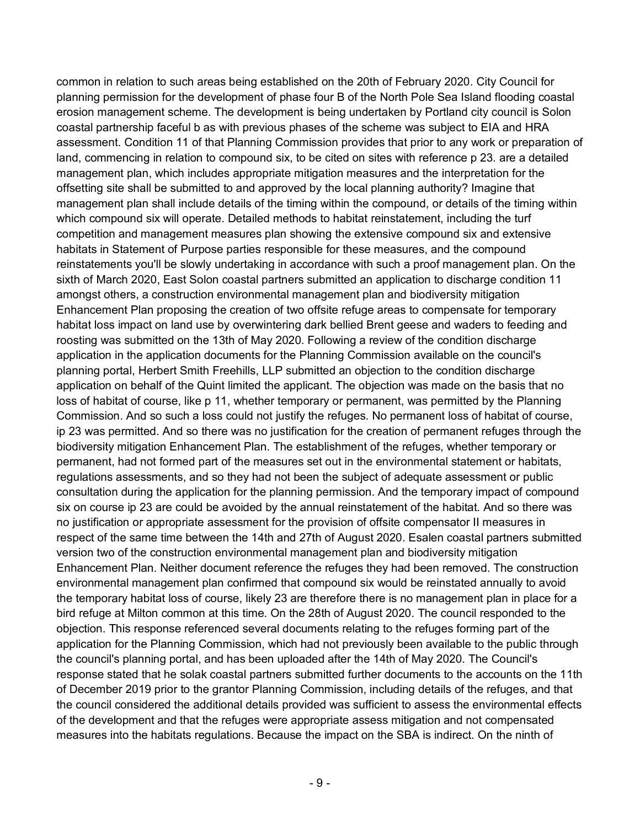common in relation to such areas being established on the 20th of February 2020. City Council for planning permission for the development of phase four B of the North Pole Sea Island flooding coastal erosion management scheme. The development is being undertaken by Portland city council is Solon coastal partnership faceful b as with previous phases of the scheme was subject to EIA and HRA assessment. Condition 11 of that Planning Commission provides that prior to any work or preparation of land, commencing in relation to compound six, to be cited on sites with reference p 23. are a detailed management plan, which includes appropriate mitigation measures and the interpretation for the offsetting site shall be submitted to and approved by the local planning authority? Imagine that management plan shall include details of the timing within the compound, or details of the timing within which compound six will operate. Detailed methods to habitat reinstatement, including the turf competition and management measures plan showing the extensive compound six and extensive habitats in Statement of Purpose parties responsible for these measures, and the compound reinstatements you'll be slowly undertaking in accordance with such a proof management plan. On the sixth of March 2020, East Solon coastal partners submitted an application to discharge condition 11 amongst others, a construction environmental management plan and biodiversity mitigation Enhancement Plan proposing the creation of two offsite refuge areas to compensate for temporary habitat loss impact on land use by overwintering dark bellied Brent geese and waders to feeding and roosting was submitted on the 13th of May 2020. Following a review of the condition discharge application in the application documents for the Planning Commission available on the council's planning portal, Herbert Smith Freehills, LLP submitted an objection to the condition discharge application on behalf of the Quint limited the applicant. The objection was made on the basis that no loss of habitat of course, like p 11, whether temporary or permanent, was permitted by the Planning Commission. And so such a loss could not justify the refuges. No permanent loss of habitat of course, ip 23 was permitted. And so there was no justification for the creation of permanent refuges through the biodiversity mitigation Enhancement Plan. The establishment of the refuges, whether temporary or permanent, had not formed part of the measures set out in the environmental statement or habitats, regulations assessments, and so they had not been the subject of adequate assessment or public consultation during the application for the planning permission. And the temporary impact of compound six on course ip 23 are could be avoided by the annual reinstatement of the habitat. And so there was no justification or appropriate assessment for the provision of offsite compensator II measures in respect of the same time between the 14th and 27th of August 2020. Esalen coastal partners submitted version two of the construction environmental management plan and biodiversity mitigation Enhancement Plan. Neither document reference the refuges they had been removed. The construction environmental management plan confirmed that compound six would be reinstated annually to avoid the temporary habitat loss of course, likely 23 are therefore there is no management plan in place for a bird refuge at Milton common at this time. On the 28th of August 2020. The council responded to the objection. This response referenced several documents relating to the refuges forming part of the application for the Planning Commission, which had not previously been available to the public through the council's planning portal, and has been uploaded after the 14th of May 2020. The Council's response stated that he solak coastal partners submitted further documents to the accounts on the 11th of December 2019 prior to the grantor Planning Commission, including details of the refuges, and that the council considered the additional details provided was sufficient to assess the environmental effects of the development and that the refuges were appropriate assess mitigation and not compensated measures into the habitats regulations. Because the impact on the SBA is indirect. On the ninth of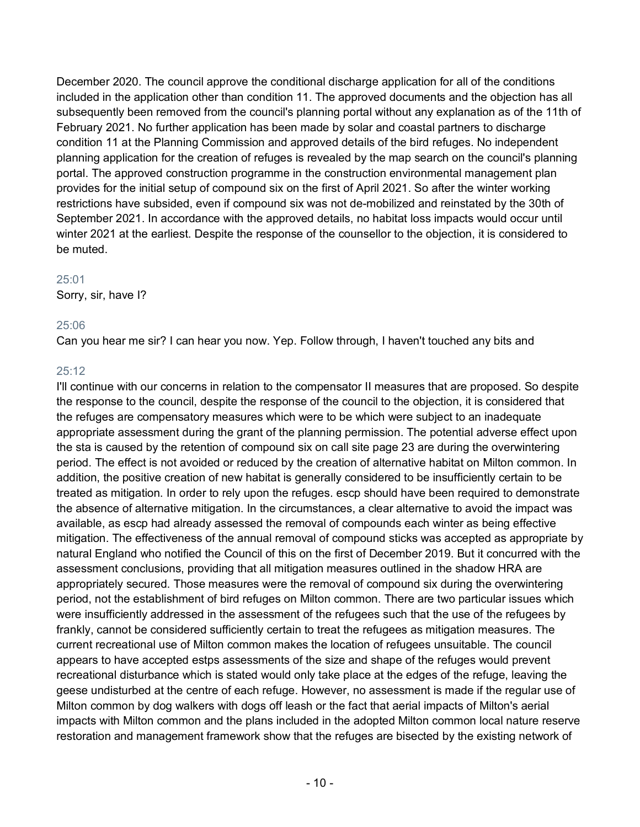December 2020. The council approve the conditional discharge application for all of the conditions included in the application other than condition 11. The approved documents and the objection has all subsequently been removed from the council's planning portal without any explanation as of the 11th of February 2021. No further application has been made by solar and coastal partners to discharge condition 11 at the Planning Commission and approved details of the bird refuges. No independent planning application for the creation of refuges is revealed by the map search on the council's planning portal. The approved construction programme in the construction environmental management plan provides for the initial setup of compound six on the first of April 2021. So after the winter working restrictions have subsided, even if compound six was not de-mobilized and reinstated by the 30th of September 2021. In accordance with the approved details, no habitat loss impacts would occur until winter 2021 at the earliest. Despite the response of the counsellor to the objection, it is considered to be muted.

### 25:01

Sorry, sir, have I?

### 25:06

Can you hear me sir? I can hear you now. Yep. Follow through, I haven't touched any bits and

# 25:12

I'll continue with our concerns in relation to the compensator II measures that are proposed. So despite the response to the council, despite the response of the council to the objection, it is considered that the refuges are compensatory measures which were to be which were subject to an inadequate appropriate assessment during the grant of the planning permission. The potential adverse effect upon the sta is caused by the retention of compound six on call site page 23 are during the overwintering period. The effect is not avoided or reduced by the creation of alternative habitat on Milton common. In addition, the positive creation of new habitat is generally considered to be insufficiently certain to be treated as mitigation. In order to rely upon the refuges. escp should have been required to demonstrate the absence of alternative mitigation. In the circumstances, a clear alternative to avoid the impact was available, as escp had already assessed the removal of compounds each winter as being effective mitigation. The effectiveness of the annual removal of compound sticks was accepted as appropriate by natural England who notified the Council of this on the first of December 2019. But it concurred with the assessment conclusions, providing that all mitigation measures outlined in the shadow HRA are appropriately secured. Those measures were the removal of compound six during the overwintering period, not the establishment of bird refuges on Milton common. There are two particular issues which were insufficiently addressed in the assessment of the refugees such that the use of the refugees by frankly, cannot be considered sufficiently certain to treat the refugees as mitigation measures. The current recreational use of Milton common makes the location of refugees unsuitable. The council appears to have accepted estps assessments of the size and shape of the refuges would prevent recreational disturbance which is stated would only take place at the edges of the refuge, leaving the geese undisturbed at the centre of each refuge. However, no assessment is made if the regular use of Milton common by dog walkers with dogs off leash or the fact that aerial impacts of Milton's aerial impacts with Milton common and the plans included in the adopted Milton common local nature reserve restoration and management framework show that the refuges are bisected by the existing network of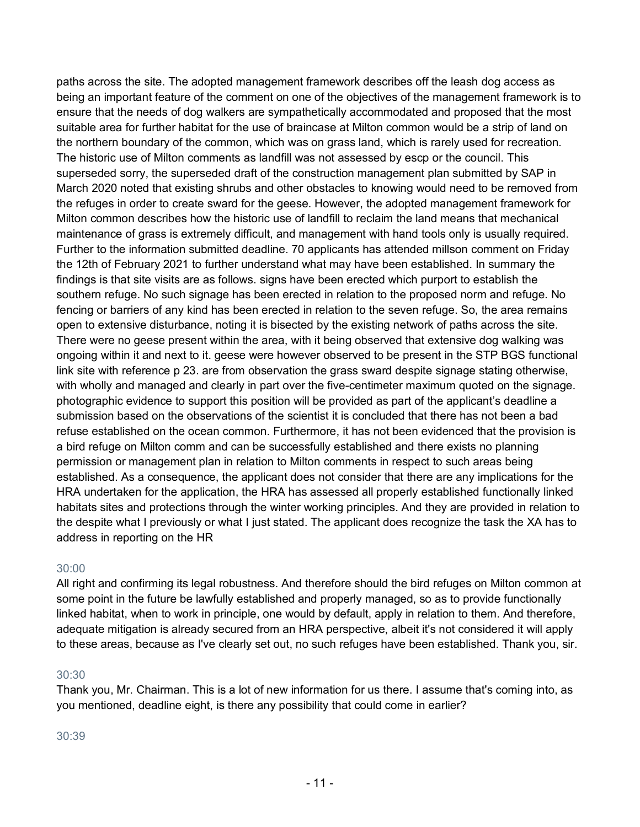paths across the site. The adopted management framework describes off the leash dog access as being an important feature of the comment on one of the objectives of the management framework is to ensure that the needs of dog walkers are sympathetically accommodated and proposed that the most suitable area for further habitat for the use of braincase at Milton common would be a strip of land on the northern boundary of the common, which was on grass land, which is rarely used for recreation. The historic use of Milton comments as landfill was not assessed by escp or the council. This superseded sorry, the superseded draft of the construction management plan submitted by SAP in March 2020 noted that existing shrubs and other obstacles to knowing would need to be removed from the refuges in order to create sward for the geese. However, the adopted management framework for Milton common describes how the historic use of landfill to reclaim the land means that mechanical maintenance of grass is extremely difficult, and management with hand tools only is usually required. Further to the information submitted deadline. 70 applicants has attended millson comment on Friday the 12th of February 2021 to further understand what may have been established. In summary the findings is that site visits are as follows. signs have been erected which purport to establish the southern refuge. No such signage has been erected in relation to the proposed norm and refuge. No fencing or barriers of any kind has been erected in relation to the seven refuge. So, the area remains open to extensive disturbance, noting it is bisected by the existing network of paths across the site. There were no geese present within the area, with it being observed that extensive dog walking was ongoing within it and next to it. geese were however observed to be present in the STP BGS functional link site with reference p 23. are from observation the grass sward despite signage stating otherwise, with wholly and managed and clearly in part over the five-centimeter maximum quoted on the signage. photographic evidence to support this position will be provided as part of the applicant's deadline a submission based on the observations of the scientist it is concluded that there has not been a bad refuse established on the ocean common. Furthermore, it has not been evidenced that the provision is a bird refuge on Milton comm and can be successfully established and there exists no planning permission or management plan in relation to Milton comments in respect to such areas being established. As a consequence, the applicant does not consider that there are any implications for the HRA undertaken for the application, the HRA has assessed all properly established functionally linked habitats sites and protections through the winter working principles. And they are provided in relation to the despite what I previously or what I just stated. The applicant does recognize the task the XA has to address in reporting on the HR

# 30:00

All right and confirming its legal robustness. And therefore should the bird refuges on Milton common at some point in the future be lawfully established and properly managed, so as to provide functionally linked habitat, when to work in principle, one would by default, apply in relation to them. And therefore, adequate mitigation is already secured from an HRA perspective, albeit it's not considered it will apply to these areas, because as I've clearly set out, no such refuges have been established. Thank you, sir.

# 30:30

Thank you, Mr. Chairman. This is a lot of new information for us there. I assume that's coming into, as you mentioned, deadline eight, is there any possibility that could come in earlier?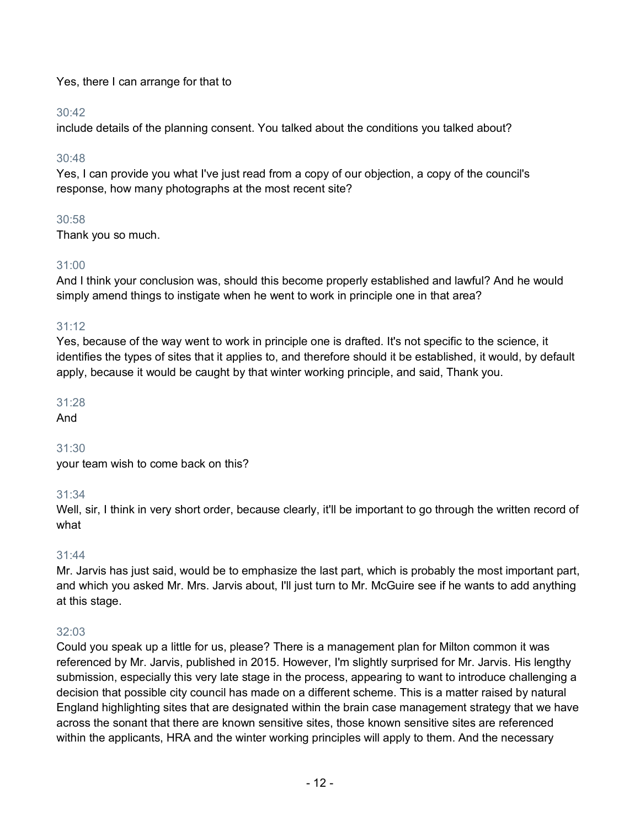# Yes, there I can arrange for that to

# 30:42

include details of the planning consent. You talked about the conditions you talked about?

# 30:48

Yes, I can provide you what I've just read from a copy of our objection, a copy of the council's response, how many photographs at the most recent site?

# 30:58

Thank you so much.

# 31:00

And I think your conclusion was, should this become properly established and lawful? And he would simply amend things to instigate when he went to work in principle one in that area?

# 31:12

Yes, because of the way went to work in principle one is drafted. It's not specific to the science, it identifies the types of sites that it applies to, and therefore should it be established, it would, by default apply, because it would be caught by that winter working principle, and said, Thank you.

# 31:28

And

# 31:30

your team wish to come back on this?

# 31:34

Well, sir, I think in very short order, because clearly, it'll be important to go through the written record of what

# 31:44

Mr. Jarvis has just said, would be to emphasize the last part, which is probably the most important part, and which you asked Mr. Mrs. Jarvis about, I'll just turn to Mr. McGuire see if he wants to add anything at this stage.

# 32:03

Could you speak up a little for us, please? There is a management plan for Milton common it was referenced by Mr. Jarvis, published in 2015. However, I'm slightly surprised for Mr. Jarvis. His lengthy submission, especially this very late stage in the process, appearing to want to introduce challenging a decision that possible city council has made on a different scheme. This is a matter raised by natural England highlighting sites that are designated within the brain case management strategy that we have across the sonant that there are known sensitive sites, those known sensitive sites are referenced within the applicants, HRA and the winter working principles will apply to them. And the necessary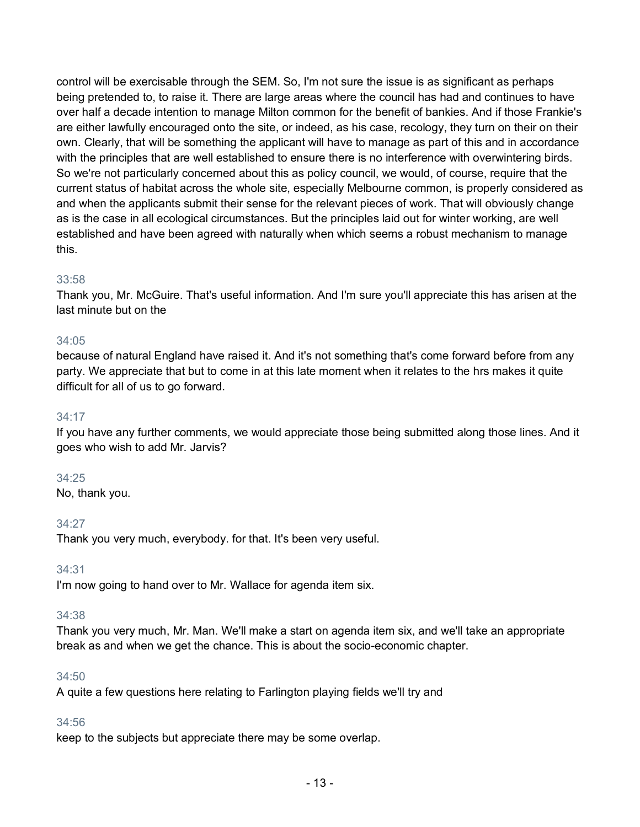control will be exercisable through the SEM. So, I'm not sure the issue is as significant as perhaps being pretended to, to raise it. There are large areas where the council has had and continues to have over half a decade intention to manage Milton common for the benefit of bankies. And if those Frankie's are either lawfully encouraged onto the site, or indeed, as his case, recology, they turn on their on their own. Clearly, that will be something the applicant will have to manage as part of this and in accordance with the principles that are well established to ensure there is no interference with overwintering birds. So we're not particularly concerned about this as policy council, we would, of course, require that the current status of habitat across the whole site, especially Melbourne common, is properly considered as and when the applicants submit their sense for the relevant pieces of work. That will obviously change as is the case in all ecological circumstances. But the principles laid out for winter working, are well established and have been agreed with naturally when which seems a robust mechanism to manage this.

# 33:58

Thank you, Mr. McGuire. That's useful information. And I'm sure you'll appreciate this has arisen at the last minute but on the

### 34:05

because of natural England have raised it. And it's not something that's come forward before from any party. We appreciate that but to come in at this late moment when it relates to the hrs makes it quite difficult for all of us to go forward.

### 34:17

If you have any further comments, we would appreciate those being submitted along those lines. And it goes who wish to add Mr. Jarvis?

#### 34:25

No, thank you.

34:27

Thank you very much, everybody. for that. It's been very useful.

34:31

I'm now going to hand over to Mr. Wallace for agenda item six.

### 34:38

Thank you very much, Mr. Man. We'll make a start on agenda item six, and we'll take an appropriate break as and when we get the chance. This is about the socio-economic chapter.

### 34:50

A quite a few questions here relating to Farlington playing fields we'll try and

### 34:56

keep to the subjects but appreciate there may be some overlap.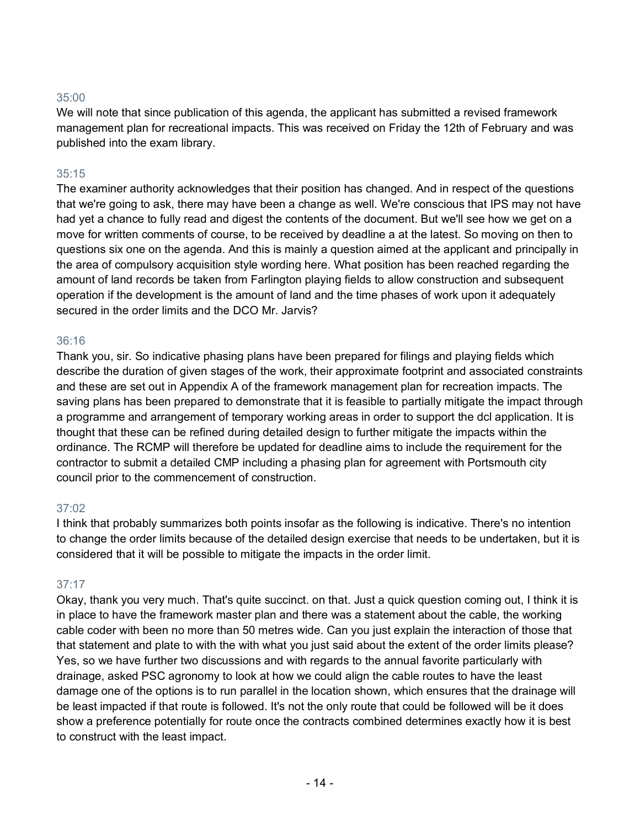We will note that since publication of this agenda, the applicant has submitted a revised framework management plan for recreational impacts. This was received on Friday the 12th of February and was published into the exam library.

### 35:15

The examiner authority acknowledges that their position has changed. And in respect of the questions that we're going to ask, there may have been a change as well. We're conscious that IPS may not have had yet a chance to fully read and digest the contents of the document. But we'll see how we get on a move for written comments of course, to be received by deadline a at the latest. So moving on then to questions six one on the agenda. And this is mainly a question aimed at the applicant and principally in the area of compulsory acquisition style wording here. What position has been reached regarding the amount of land records be taken from Farlington playing fields to allow construction and subsequent operation if the development is the amount of land and the time phases of work upon it adequately secured in the order limits and the DCO Mr. Jarvis?

### 36:16

Thank you, sir. So indicative phasing plans have been prepared for filings and playing fields which describe the duration of given stages of the work, their approximate footprint and associated constraints and these are set out in Appendix A of the framework management plan for recreation impacts. The saving plans has been prepared to demonstrate that it is feasible to partially mitigate the impact through a programme and arrangement of temporary working areas in order to support the dcl application. It is thought that these can be refined during detailed design to further mitigate the impacts within the ordinance. The RCMP will therefore be updated for deadline aims to include the requirement for the contractor to submit a detailed CMP including a phasing plan for agreement with Portsmouth city council prior to the commencement of construction.

### 37:02

I think that probably summarizes both points insofar as the following is indicative. There's no intention to change the order limits because of the detailed design exercise that needs to be undertaken, but it is considered that it will be possible to mitigate the impacts in the order limit.

# 37:17

Okay, thank you very much. That's quite succinct. on that. Just a quick question coming out, I think it is in place to have the framework master plan and there was a statement about the cable, the working cable coder with been no more than 50 metres wide. Can you just explain the interaction of those that that statement and plate to with the with what you just said about the extent of the order limits please? Yes, so we have further two discussions and with regards to the annual favorite particularly with drainage, asked PSC agronomy to look at how we could align the cable routes to have the least damage one of the options is to run parallel in the location shown, which ensures that the drainage will be least impacted if that route is followed. It's not the only route that could be followed will be it does show a preference potentially for route once the contracts combined determines exactly how it is best to construct with the least impact.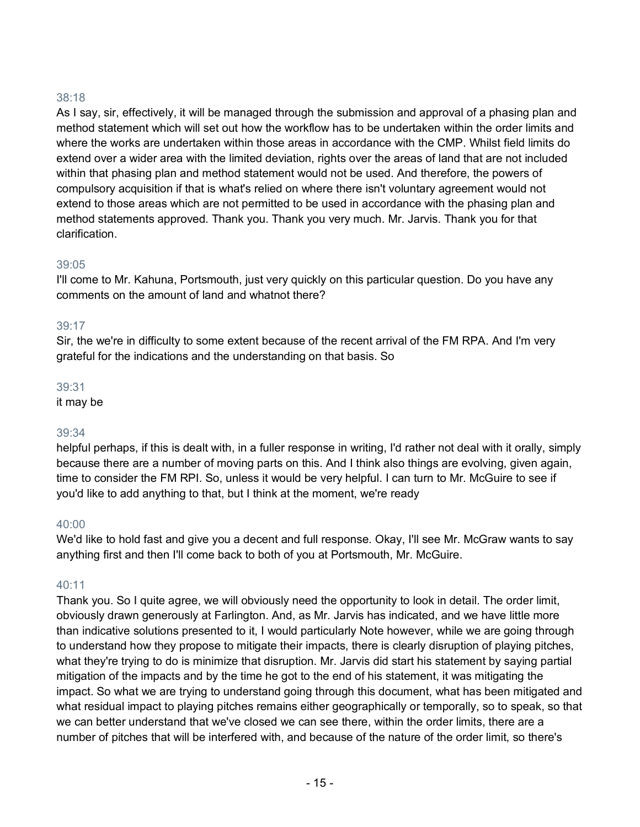As I say, sir, effectively, it will be managed through the submission and approval of a phasing plan and method statement which will set out how the workflow has to be undertaken within the order limits and where the works are undertaken within those areas in accordance with the CMP. Whilst field limits do extend over a wider area with the limited deviation, rights over the areas of land that are not included within that phasing plan and method statement would not be used. And therefore, the powers of compulsory acquisition if that is what's relied on where there isn't voluntary agreement would not extend to those areas which are not permitted to be used in accordance with the phasing plan and method statements approved. Thank you. Thank you very much. Mr. Jarvis. Thank you for that clarification.

### 39:05

I'll come to Mr. Kahuna, Portsmouth, just very quickly on this particular question. Do you have any comments on the amount of land and whatnot there?

### 39:17

Sir, the we're in difficulty to some extent because of the recent arrival of the FM RPA. And I'm very grateful for the indications and the understanding on that basis. So

### 39:31

it may be

### 39:34

helpful perhaps, if this is dealt with, in a fuller response in writing, I'd rather not deal with it orally, simply because there are a number of moving parts on this. And I think also things are evolving, given again, time to consider the FM RPI. So, unless it would be very helpful. I can turn to Mr. McGuire to see if you'd like to add anything to that, but I think at the moment, we're ready

### 40:00

We'd like to hold fast and give you a decent and full response. Okay, I'll see Mr. McGraw wants to say anything first and then I'll come back to both of you at Portsmouth, Mr. McGuire.

# $40:11$

Thank you. So I quite agree, we will obviously need the opportunity to look in detail. The order limit, obviously drawn generously at Farlington. And, as Mr. Jarvis has indicated, and we have little more than indicative solutions presented to it, I would particularly Note however, while we are going through to understand how they propose to mitigate their impacts, there is clearly disruption of playing pitches, what they're trying to do is minimize that disruption. Mr. Jarvis did start his statement by saying partial mitigation of the impacts and by the time he got to the end of his statement, it was mitigating the impact. So what we are trying to understand going through this document, what has been mitigated and what residual impact to playing pitches remains either geographically or temporally, so to speak, so that we can better understand that we've closed we can see there, within the order limits, there are a number of pitches that will be interfered with, and because of the nature of the order limit, so there's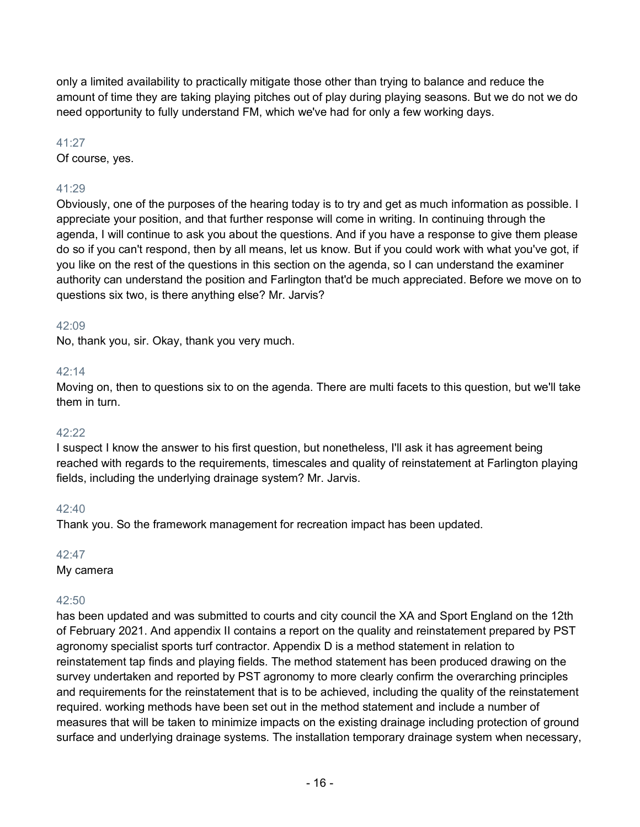only a limited availability to practically mitigate those other than trying to balance and reduce the amount of time they are taking playing pitches out of play during playing seasons. But we do not we do need opportunity to fully understand FM, which we've had for only a few working days.

# 41:27

Of course, yes.

# 41:29

Obviously, one of the purposes of the hearing today is to try and get as much information as possible. I appreciate your position, and that further response will come in writing. In continuing through the agenda, I will continue to ask you about the questions. And if you have a response to give them please do so if you can't respond, then by all means, let us know. But if you could work with what you've got, if you like on the rest of the questions in this section on the agenda, so I can understand the examiner authority can understand the position and Farlington that'd be much appreciated. Before we move on to questions six two, is there anything else? Mr. Jarvis?

# 42:09

No, thank you, sir. Okay, thank you very much.

# 42:14

Moving on, then to questions six to on the agenda. There are multi facets to this question, but we'll take them in turn.

### 42:22

I suspect I know the answer to his first question, but nonetheless, I'll ask it has agreement being reached with regards to the requirements, timescales and quality of reinstatement at Farlington playing fields, including the underlying drainage system? Mr. Jarvis.

# 42:40

Thank you. So the framework management for recreation impact has been updated.

# 42:47

My camera

# 42:50

has been updated and was submitted to courts and city council the XA and Sport England on the 12th of February 2021. And appendix II contains a report on the quality and reinstatement prepared by PST agronomy specialist sports turf contractor. Appendix D is a method statement in relation to reinstatement tap finds and playing fields. The method statement has been produced drawing on the survey undertaken and reported by PST agronomy to more clearly confirm the overarching principles and requirements for the reinstatement that is to be achieved, including the quality of the reinstatement required. working methods have been set out in the method statement and include a number of measures that will be taken to minimize impacts on the existing drainage including protection of ground surface and underlying drainage systems. The installation temporary drainage system when necessary,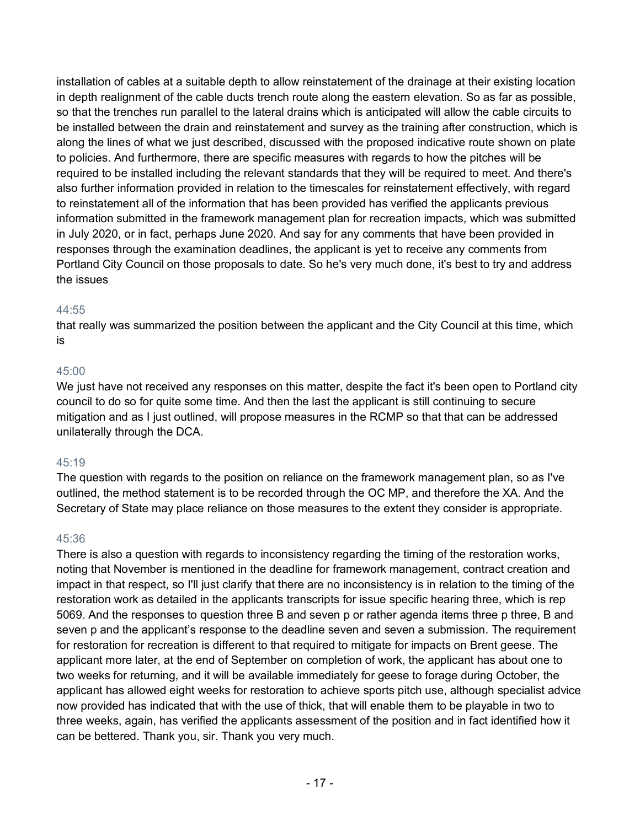installation of cables at a suitable depth to allow reinstatement of the drainage at their existing location in depth realignment of the cable ducts trench route along the eastern elevation. So as far as possible, so that the trenches run parallel to the lateral drains which is anticipated will allow the cable circuits to be installed between the drain and reinstatement and survey as the training after construction, which is along the lines of what we just described, discussed with the proposed indicative route shown on plate to policies. And furthermore, there are specific measures with regards to how the pitches will be required to be installed including the relevant standards that they will be required to meet. And there's also further information provided in relation to the timescales for reinstatement effectively, with regard to reinstatement all of the information that has been provided has verified the applicants previous information submitted in the framework management plan for recreation impacts, which was submitted in July 2020, or in fact, perhaps June 2020. And say for any comments that have been provided in responses through the examination deadlines, the applicant is yet to receive any comments from Portland City Council on those proposals to date. So he's very much done, it's best to try and address the issues

# 44:55

that really was summarized the position between the applicant and the City Council at this time, which is

# 45:00

We just have not received any responses on this matter, despite the fact it's been open to Portland city council to do so for quite some time. And then the last the applicant is still continuing to secure mitigation and as I just outlined, will propose measures in the RCMP so that that can be addressed unilaterally through the DCA.

# 45:19

The question with regards to the position on reliance on the framework management plan, so as I've outlined, the method statement is to be recorded through the OC MP, and therefore the XA. And the Secretary of State may place reliance on those measures to the extent they consider is appropriate.

### 45:36

There is also a question with regards to inconsistency regarding the timing of the restoration works, noting that November is mentioned in the deadline for framework management, contract creation and impact in that respect, so I'll just clarify that there are no inconsistency is in relation to the timing of the restoration work as detailed in the applicants transcripts for issue specific hearing three, which is rep 5069. And the responses to question three B and seven p or rather agenda items three p three, B and seven p and the applicant's response to the deadline seven and seven a submission. The requirement for restoration for recreation is different to that required to mitigate for impacts on Brent geese. The applicant more later, at the end of September on completion of work, the applicant has about one to two weeks for returning, and it will be available immediately for geese to forage during October, the applicant has allowed eight weeks for restoration to achieve sports pitch use, although specialist advice now provided has indicated that with the use of thick, that will enable them to be playable in two to three weeks, again, has verified the applicants assessment of the position and in fact identified how it can be bettered. Thank you, sir. Thank you very much.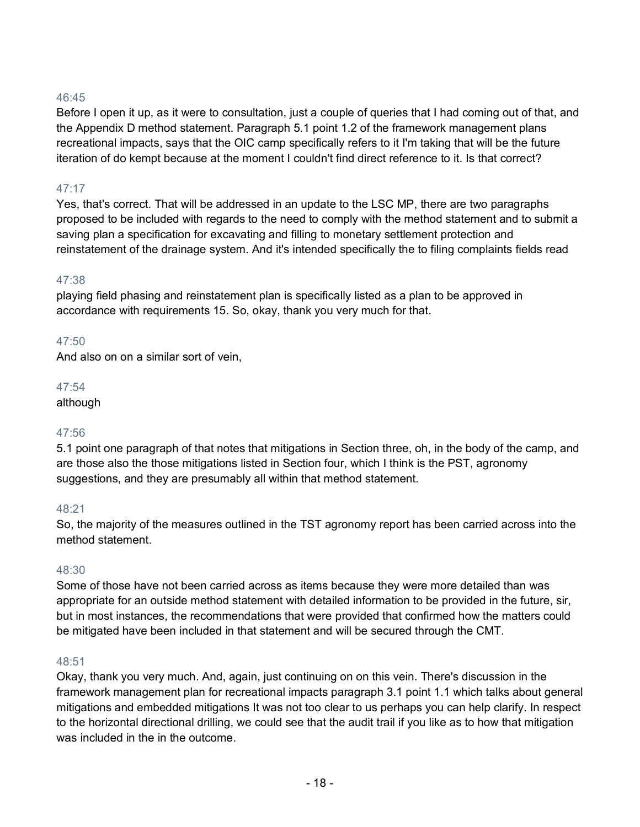Before I open it up, as it were to consultation, just a couple of queries that I had coming out of that, and the Appendix D method statement. Paragraph 5.1 point 1.2 of the framework management plans recreational impacts, says that the OIC camp specifically refers to it I'm taking that will be the future iteration of do kempt because at the moment I couldn't find direct reference to it. Is that correct?

# 47:17

Yes, that's correct. That will be addressed in an update to the LSC MP, there are two paragraphs proposed to be included with regards to the need to comply with the method statement and to submit a saving plan a specification for excavating and filling to monetary settlement protection and reinstatement of the drainage system. And it's intended specifically the to filing complaints fields read

### 47:38

playing field phasing and reinstatement plan is specifically listed as a plan to be approved in accordance with requirements 15. So, okay, thank you very much for that.

### 47:50

And also on on a similar sort of vein,

#### 47:54

although

### 47:56

5.1 point one paragraph of that notes that mitigations in Section three, oh, in the body of the camp, and are those also the those mitigations listed in Section four, which I think is the PST, agronomy suggestions, and they are presumably all within that method statement.

### 48:21

So, the majority of the measures outlined in the TST agronomy report has been carried across into the method statement.

#### 48:30

Some of those have not been carried across as items because they were more detailed than was appropriate for an outside method statement with detailed information to be provided in the future, sir, but in most instances, the recommendations that were provided that confirmed how the matters could be mitigated have been included in that statement and will be secured through the CMT.

#### 48:51

Okay, thank you very much. And, again, just continuing on on this vein. There's discussion in the framework management plan for recreational impacts paragraph 3.1 point 1.1 which talks about general mitigations and embedded mitigations It was not too clear to us perhaps you can help clarify. In respect to the horizontal directional drilling, we could see that the audit trail if you like as to how that mitigation was included in the in the outcome.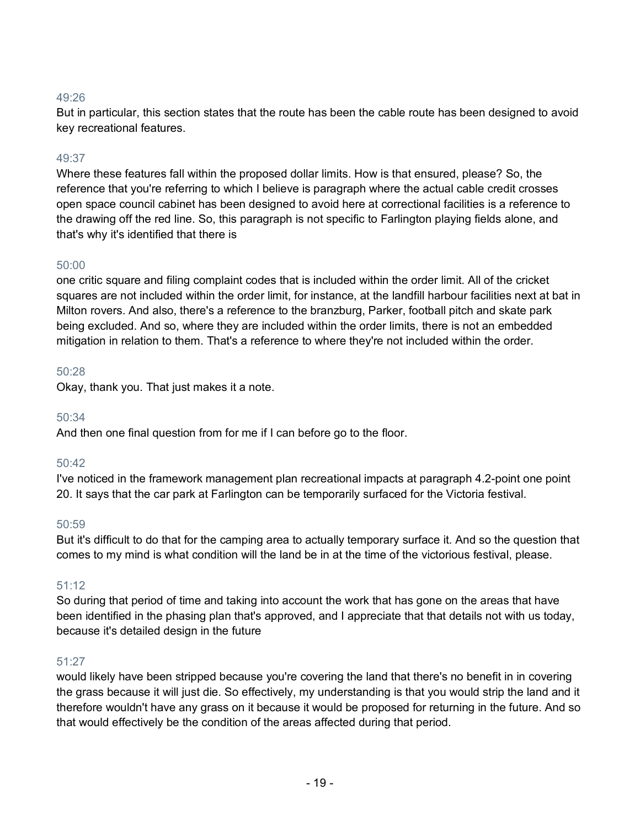But in particular, this section states that the route has been the cable route has been designed to avoid key recreational features.

### 49:37

Where these features fall within the proposed dollar limits. How is that ensured, please? So, the reference that you're referring to which I believe is paragraph where the actual cable credit crosses open space council cabinet has been designed to avoid here at correctional facilities is a reference to the drawing off the red line. So, this paragraph is not specific to Farlington playing fields alone, and that's why it's identified that there is

### 50:00

one critic square and filing complaint codes that is included within the order limit. All of the cricket squares are not included within the order limit, for instance, at the landfill harbour facilities next at bat in Milton rovers. And also, there's a reference to the branzburg, Parker, football pitch and skate park being excluded. And so, where they are included within the order limits, there is not an embedded mitigation in relation to them. That's a reference to where they're not included within the order.

### 50:28

Okay, thank you. That just makes it a note.

### 50:34

And then one final question from for me if I can before go to the floor.

### 50:42

I've noticed in the framework management plan recreational impacts at paragraph 4.2-point one point 20. It says that the car park at Farlington can be temporarily surfaced for the Victoria festival.

### 50:59

But it's difficult to do that for the camping area to actually temporary surface it. And so the question that comes to my mind is what condition will the land be in at the time of the victorious festival, please.

# 51:12

So during that period of time and taking into account the work that has gone on the areas that have been identified in the phasing plan that's approved, and I appreciate that that details not with us today, because it's detailed design in the future

### 51:27

would likely have been stripped because you're covering the land that there's no benefit in in covering the grass because it will just die. So effectively, my understanding is that you would strip the land and it therefore wouldn't have any grass on it because it would be proposed for returning in the future. And so that would effectively be the condition of the areas affected during that period.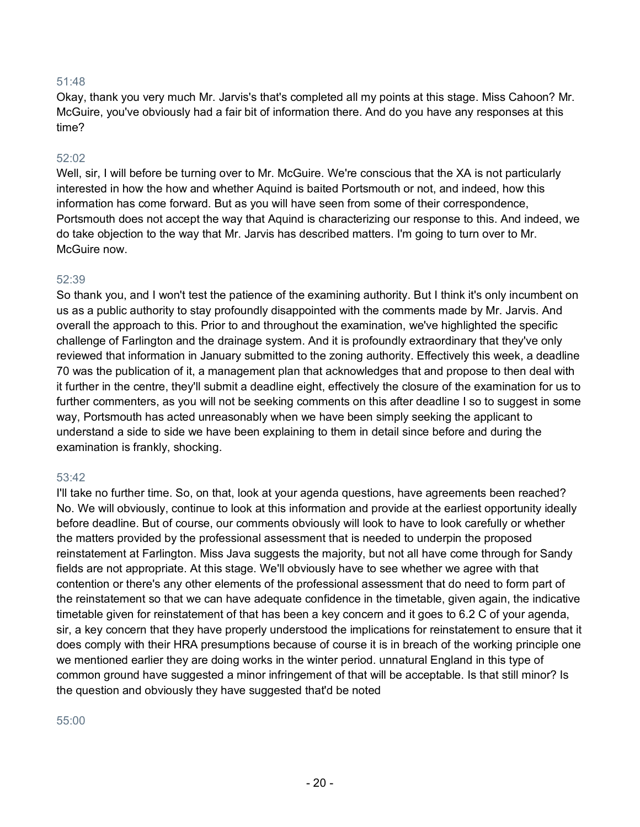Okay, thank you very much Mr. Jarvis's that's completed all my points at this stage. Miss Cahoon? Mr. McGuire, you've obviously had a fair bit of information there. And do you have any responses at this time?

#### 52:02

Well, sir, I will before be turning over to Mr. McGuire. We're conscious that the XA is not particularly interested in how the how and whether Aquind is baited Portsmouth or not, and indeed, how this information has come forward. But as you will have seen from some of their correspondence, Portsmouth does not accept the way that Aquind is characterizing our response to this. And indeed, we do take objection to the way that Mr. Jarvis has described matters. I'm going to turn over to Mr. McGuire now

#### 52:39

So thank you, and I won't test the patience of the examining authority. But I think it's only incumbent on us as a public authority to stay profoundly disappointed with the comments made by Mr. Jarvis. And overall the approach to this. Prior to and throughout the examination, we've highlighted the specific challenge of Farlington and the drainage system. And it is profoundly extraordinary that they've only reviewed that information in January submitted to the zoning authority. Effectively this week, a deadline 70 was the publication of it, a management plan that acknowledges that and propose to then deal with it further in the centre, they'll submit a deadline eight, effectively the closure of the examination for us to further commenters, as you will not be seeking comments on this after deadline I so to suggest in some way, Portsmouth has acted unreasonably when we have been simply seeking the applicant to understand a side to side we have been explaining to them in detail since before and during the examination is frankly, shocking.

#### 53:42

I'll take no further time. So, on that, look at your agenda questions, have agreements been reached? No. We will obviously, continue to look at this information and provide at the earliest opportunity ideally before deadline. But of course, our comments obviously will look to have to look carefully or whether the matters provided by the professional assessment that is needed to underpin the proposed reinstatement at Farlington. Miss Java suggests the majority, but not all have come through for Sandy fields are not appropriate. At this stage. We'll obviously have to see whether we agree with that contention or there's any other elements of the professional assessment that do need to form part of the reinstatement so that we can have adequate confidence in the timetable, given again, the indicative timetable given for reinstatement of that has been a key concern and it goes to 6.2 C of your agenda, sir, a key concern that they have properly understood the implications for reinstatement to ensure that it does comply with their HRA presumptions because of course it is in breach of the working principle one we mentioned earlier they are doing works in the winter period. unnatural England in this type of common ground have suggested a minor infringement of that will be acceptable. Is that still minor? Is the question and obviously they have suggested that'd be noted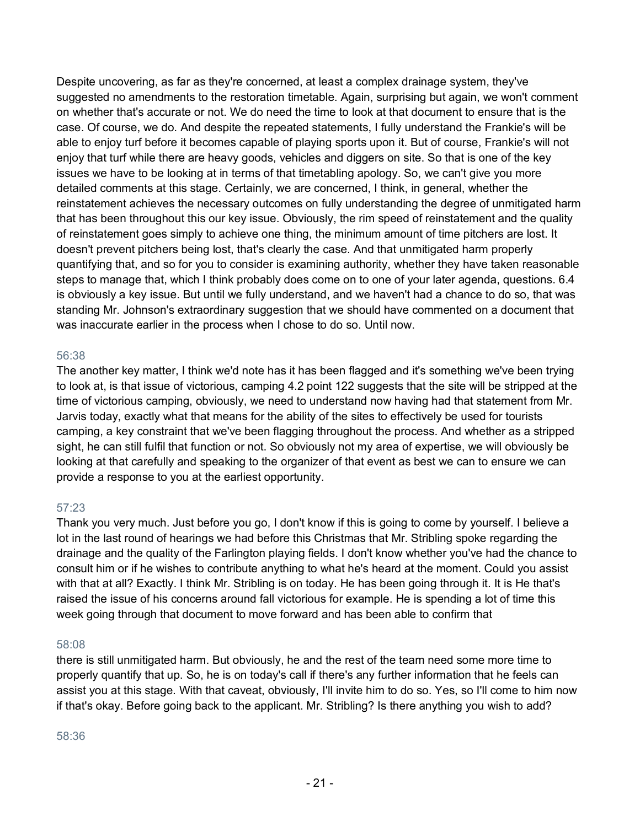Despite uncovering, as far as they're concerned, at least a complex drainage system, they've suggested no amendments to the restoration timetable. Again, surprising but again, we won't comment on whether that's accurate or not. We do need the time to look at that document to ensure that is the case. Of course, we do. And despite the repeated statements, I fully understand the Frankie's will be able to enjoy turf before it becomes capable of playing sports upon it. But of course, Frankie's will not enjoy that turf while there are heavy goods, vehicles and diggers on site. So that is one of the key issues we have to be looking at in terms of that timetabling apology. So, we can't give you more detailed comments at this stage. Certainly, we are concerned, I think, in general, whether the reinstatement achieves the necessary outcomes on fully understanding the degree of unmitigated harm that has been throughout this our key issue. Obviously, the rim speed of reinstatement and the quality of reinstatement goes simply to achieve one thing, the minimum amount of time pitchers are lost. It doesn't prevent pitchers being lost, that's clearly the case. And that unmitigated harm properly quantifying that, and so for you to consider is examining authority, whether they have taken reasonable steps to manage that, which I think probably does come on to one of your later agenda, questions. 6.4 is obviously a key issue. But until we fully understand, and we haven't had a chance to do so, that was standing Mr. Johnson's extraordinary suggestion that we should have commented on a document that was inaccurate earlier in the process when I chose to do so. Until now.

### 56:38

The another key matter, I think we'd note has it has been flagged and it's something we've been trying to look at, is that issue of victorious, camping 4.2 point 122 suggests that the site will be stripped at the time of victorious camping, obviously, we need to understand now having had that statement from Mr. Jarvis today, exactly what that means for the ability of the sites to effectively be used for tourists camping, a key constraint that we've been flagging throughout the process. And whether as a stripped sight, he can still fulfil that function or not. So obviously not my area of expertise, we will obviously be looking at that carefully and speaking to the organizer of that event as best we can to ensure we can provide a response to you at the earliest opportunity.

### 57:23

Thank you very much. Just before you go, I don't know if this is going to come by yourself. I believe a lot in the last round of hearings we had before this Christmas that Mr. Stribling spoke regarding the drainage and the quality of the Farlington playing fields. I don't know whether you've had the chance to consult him or if he wishes to contribute anything to what he's heard at the moment. Could you assist with that at all? Exactly. I think Mr. Stribling is on today. He has been going through it. It is He that's raised the issue of his concerns around fall victorious for example. He is spending a lot of time this week going through that document to move forward and has been able to confirm that

#### 58:08

there is still unmitigated harm. But obviously, he and the rest of the team need some more time to properly quantify that up. So, he is on today's call if there's any further information that he feels can assist you at this stage. With that caveat, obviously, I'll invite him to do so. Yes, so I'll come to him now if that's okay. Before going back to the applicant. Mr. Stribling? Is there anything you wish to add?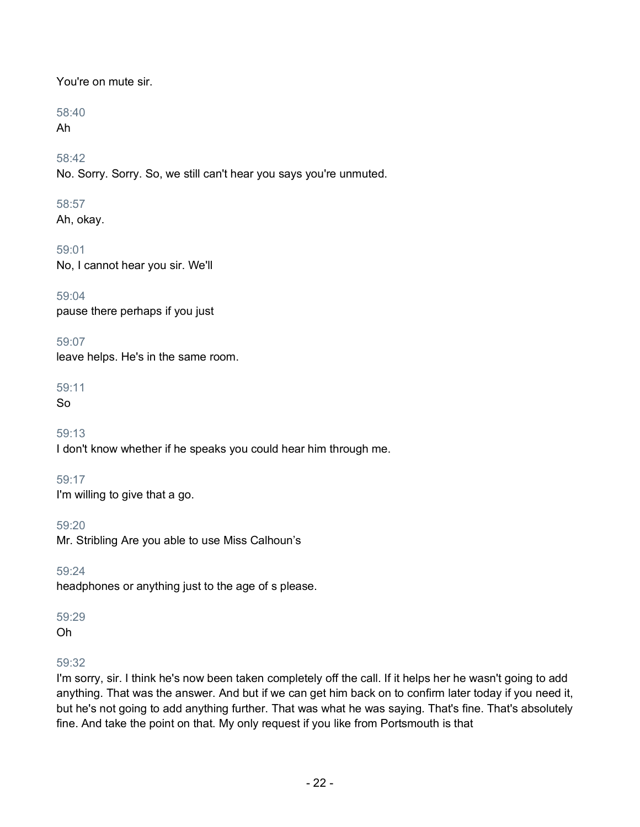# You're on mute sir.

# 58:40

Ah

58:42

No. Sorry. Sorry. So, we still can't hear you says you're unmuted.

# 58:57

Ah, okay.

59:01 No, I cannot hear you sir. We'll

59:04 pause there perhaps if you just

59:07 leave helps. He's in the same room.

59:11

So

59:13 I don't know whether if he speaks you could hear him through me.

59:17 I'm willing to give that a go.

59:20 Mr. Stribling Are you able to use Miss Calhoun's

59:24 headphones or anything just to the age of s please.

59:29

Oh

# 59:32

I'm sorry, sir. I think he's now been taken completely off the call. If it helps her he wasn't going to add anything. That was the answer. And but if we can get him back on to confirm later today if you need it, but he's not going to add anything further. That was what he was saying. That's fine. That's absolutely fine. And take the point on that. My only request if you like from Portsmouth is that